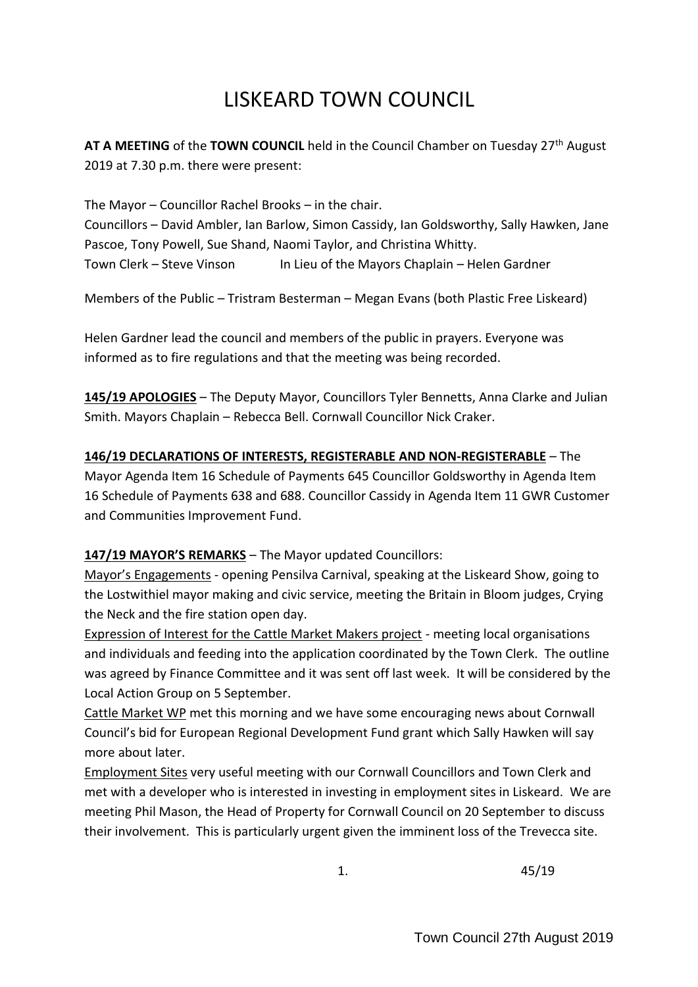# LISKEARD TOWN COUNCIL

**AT A MEETING** of the **TOWN COUNCIL** held in the Council Chamber on Tuesday 27th August 2019 at 7.30 p.m. there were present:

The Mayor – Councillor Rachel Brooks – in the chair. Councillors – David Ambler, Ian Barlow, Simon Cassidy, Ian Goldsworthy, Sally Hawken, Jane Pascoe, Tony Powell, Sue Shand, Naomi Taylor, and Christina Whitty. Town Clerk – Steve Vinson In Lieu of the Mayors Chaplain – Helen Gardner

Members of the Public – Tristram Besterman – Megan Evans (both Plastic Free Liskeard)

Helen Gardner lead the council and members of the public in prayers. Everyone was informed as to fire regulations and that the meeting was being recorded.

**145/19 APOLOGIES** – The Deputy Mayor, Councillors Tyler Bennetts, Anna Clarke and Julian Smith. Mayors Chaplain – Rebecca Bell. Cornwall Councillor Nick Craker.

**146/19 DECLARATIONS OF INTERESTS, REGISTERABLE AND NON-REGISTERABLE** – The Mayor Agenda Item 16 Schedule of Payments 645 Councillor Goldsworthy in Agenda Item 16 Schedule of Payments 638 and 688. Councillor Cassidy in Agenda Item 11 GWR Customer and Communities Improvement Fund.

## **147/19 MAYOR'S REMARKS** – The Mayor updated Councillors:

Mayor's Engagements - opening Pensilva Carnival, speaking at the Liskeard Show, going to the Lostwithiel mayor making and civic service, meeting the Britain in Bloom judges, Crying the Neck and the fire station open day.

Expression of Interest for the Cattle Market Makers project - meeting local organisations and individuals and feeding into the application coordinated by the Town Clerk. The outline was agreed by Finance Committee and it was sent off last week. It will be considered by the Local Action Group on 5 September.

Cattle Market WP met this morning and we have some encouraging news about Cornwall Council's bid for European Regional Development Fund grant which Sally Hawken will say more about later.

Employment Sites very useful meeting with our Cornwall Councillors and Town Clerk and met with a developer who is interested in investing in employment sites in Liskeard. We are meeting Phil Mason, the Head of Property for Cornwall Council on 20 September to discuss their involvement. This is particularly urgent given the imminent loss of the Trevecca site.

1. 45/19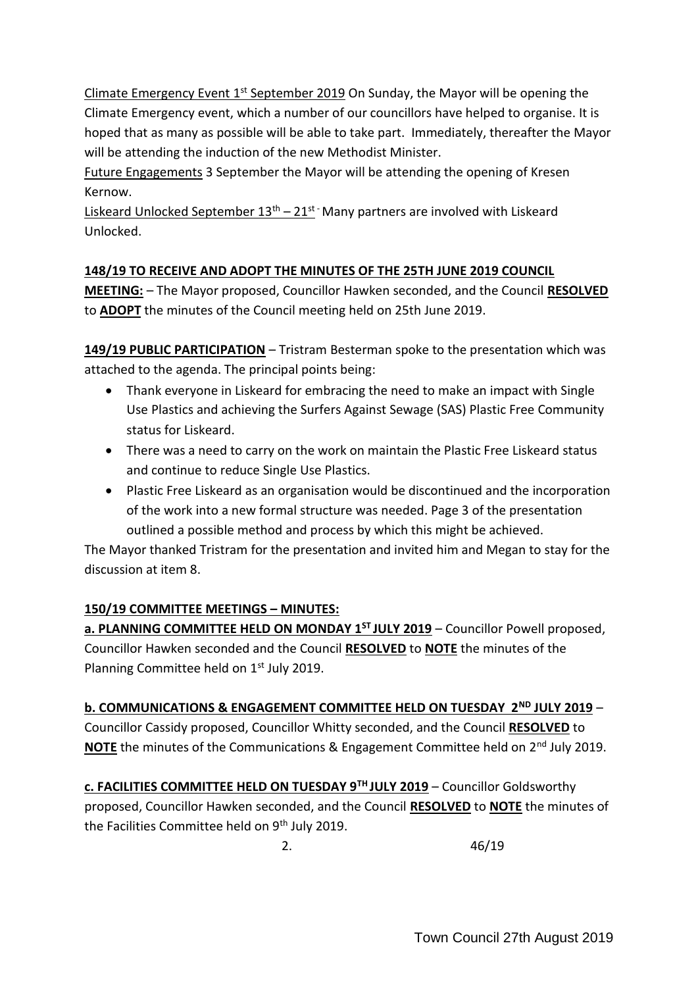Climate Emergency Event 1st September 2019 On Sunday, the Mayor will be opening the Climate Emergency event, which a number of our councillors have helped to organise. It is hoped that as many as possible will be able to take part. Immediately, thereafter the Mayor will be attending the induction of the new Methodist Minister.

Future Engagements 3 September the Mayor will be attending the opening of Kresen Kernow.

Liskeard Unlocked September  $13<sup>th</sup> - 21<sup>st</sup>$  Many partners are involved with Liskeard Unlocked.

# **148/19 TO RECEIVE AND ADOPT THE MINUTES OF THE 25TH JUNE 2019 COUNCIL**

**MEETING:** – The Mayor proposed, Councillor Hawken seconded, and the Council **RESOLVED** to **ADOPT** the minutes of the Council meeting held on 25th June 2019.

**149/19 PUBLIC PARTICIPATION** – Tristram Besterman spoke to the presentation which was attached to the agenda. The principal points being:

- Thank everyone in Liskeard for embracing the need to make an impact with Single Use Plastics and achieving the Surfers Against Sewage (SAS) Plastic Free Community status for Liskeard.
- There was a need to carry on the work on maintain the Plastic Free Liskeard status and continue to reduce Single Use Plastics.
- Plastic Free Liskeard as an organisation would be discontinued and the incorporation of the work into a new formal structure was needed. Page 3 of the presentation outlined a possible method and process by which this might be achieved.

The Mayor thanked Tristram for the presentation and invited him and Megan to stay for the discussion at item 8.

# **150/19 COMMITTEE MEETINGS – MINUTES:**

**a. PLANNING COMMITTEE HELD ON MONDAY 1<sup>ST</sup> JULY 2019** – Councillor Powell proposed, Councillor Hawken seconded and the Council **RESOLVED** to **NOTE** the minutes of the Planning Committee held on 1<sup>st</sup> July 2019.

**b. COMMUNICATIONS & ENGAGEMENT COMMITTEE HELD ON TUESDAY 2ND JULY 2019** –

Councillor Cassidy proposed, Councillor Whitty seconded, and the Council **RESOLVED** to **NOTE** the minutes of the Communications & Engagement Committee held on 2<sup>nd</sup> July 2019.

**c. FACILITIES COMMITTEE HELD ON TUESDAY 9TH JULY 2019** – Councillor Goldsworthy proposed, Councillor Hawken seconded, and the Council **RESOLVED** to **NOTE** the minutes of the Facilities Committee held on 9<sup>th</sup> July 2019.

2. 46/19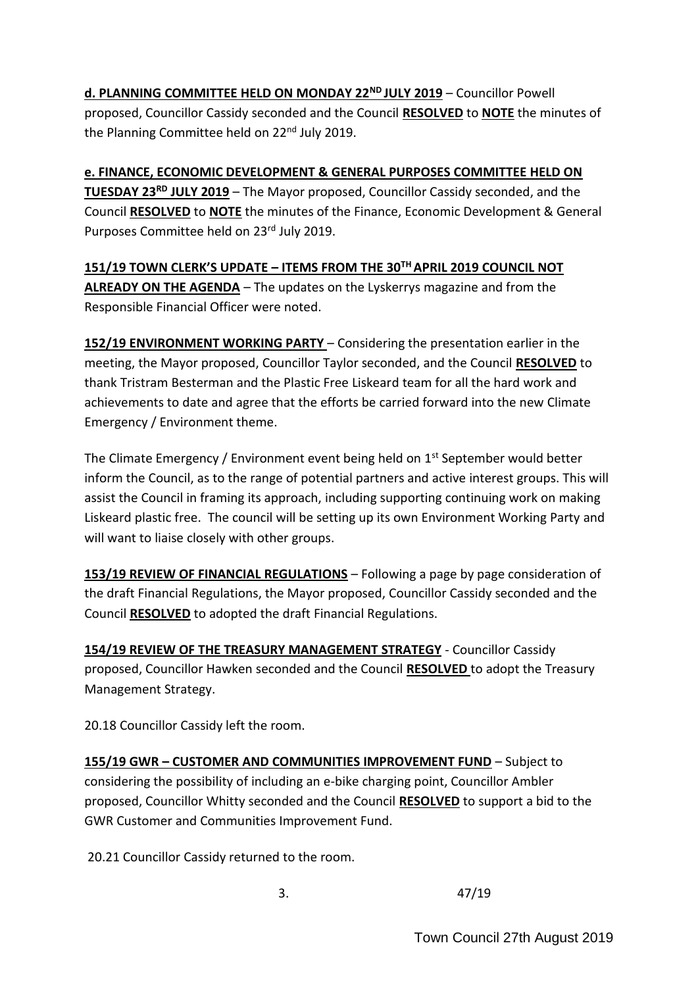**d. PLANNING COMMITTEE HELD ON MONDAY 22ND JULY 2019** – Councillor Powell proposed, Councillor Cassidy seconded and the Council **RESOLVED** to **NOTE** the minutes of the Planning Committee held on 22<sup>nd</sup> July 2019.

**e. FINANCE, ECONOMIC DEVELOPMENT & GENERAL PURPOSES COMMITTEE HELD ON TUESDAY 23RD JULY 2019** – The Mayor proposed, Councillor Cassidy seconded, and the Council **RESOLVED** to **NOTE** the minutes of the Finance, Economic Development & General Purposes Committee held on 23rd July 2019.

**151/19 TOWN CLERK'S UPDATE – ITEMS FROM THE 30TH APRIL 2019 COUNCIL NOT ALREADY ON THE AGENDA** – The updates on the Lyskerrys magazine and from the Responsible Financial Officer were noted.

**152/19 ENVIRONMENT WORKING PARTY** – Considering the presentation earlier in the meeting, the Mayor proposed, Councillor Taylor seconded, and the Council **RESOLVED** to thank Tristram Besterman and the Plastic Free Liskeard team for all the hard work and achievements to date and agree that the efforts be carried forward into the new Climate Emergency / Environment theme.

The Climate Emergency / Environment event being held on 1<sup>st</sup> September would better inform the Council, as to the range of potential partners and active interest groups. This will assist the Council in framing its approach, including supporting continuing work on making Liskeard plastic free. The council will be setting up its own Environment Working Party and will want to liaise closely with other groups.

**153/19 REVIEW OF FINANCIAL REGULATIONS** – Following a page by page consideration of the draft Financial Regulations, the Mayor proposed, Councillor Cassidy seconded and the Council **RESOLVED** to adopted the draft Financial Regulations.

**154/19 REVIEW OF THE TREASURY MANAGEMENT STRATEGY** - Councillor Cassidy proposed, Councillor Hawken seconded and the Council **RESOLVED** to adopt the Treasury Management Strategy.

20.18 Councillor Cassidy left the room.

**155/19 GWR – CUSTOMER AND COMMUNITIES IMPROVEMENT FUND** – Subject to considering the possibility of including an e-bike charging point, Councillor Ambler proposed, Councillor Whitty seconded and the Council **RESOLVED** to support a bid to the GWR Customer and Communities Improvement Fund.

20.21 Councillor Cassidy returned to the room.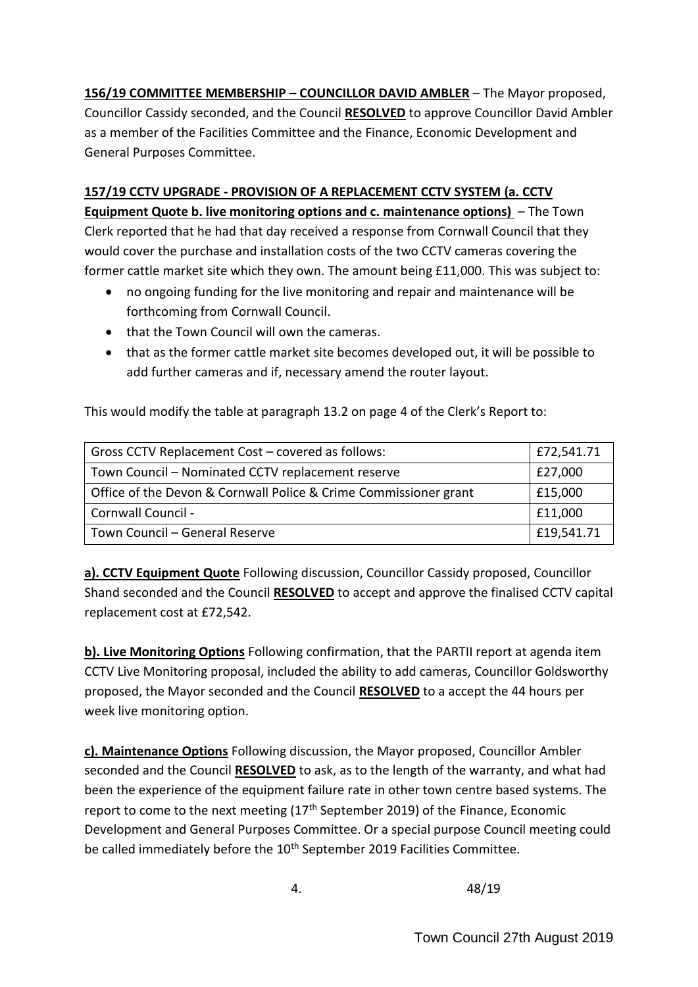**156/19 COMMITTEE MEMBERSHIP – COUNCILLOR DAVID AMBLER** – The Mayor proposed, Councillor Cassidy seconded, and the Council **RESOLVED** to approve Councillor David Ambler as a member of the Facilities Committee and the Finance, Economic Development and General Purposes Committee.

# **157/19 CCTV UPGRADE - PROVISION OF A REPLACEMENT CCTV SYSTEM (a. CCTV Equipment Quote b. live monitoring options and c. maintenance options)** – The Town

Clerk reported that he had that day received a response from Cornwall Council that they would cover the purchase and installation costs of the two CCTV cameras covering the former cattle market site which they own. The amount being £11,000. This was subject to:

- no ongoing funding for the live monitoring and repair and maintenance will be forthcoming from Cornwall Council.
- that the Town Council will own the cameras.
- that as the former cattle market site becomes developed out, it will be possible to add further cameras and if, necessary amend the router layout.

This would modify the table at paragraph 13.2 on page 4 of the Clerk's Report to:

| Gross CCTV Replacement Cost - covered as follows:                | £72,541.71 |
|------------------------------------------------------------------|------------|
| Town Council - Nominated CCTV replacement reserve                | £27,000    |
| Office of the Devon & Cornwall Police & Crime Commissioner grant | £15,000    |
| Cornwall Council -                                               | £11,000    |
| Town Council - General Reserve                                   | £19,541.71 |

**a). CCTV Equipment Quote** Following discussion, Councillor Cassidy proposed, Councillor Shand seconded and the Council **RESOLVED** to accept and approve the finalised CCTV capital replacement cost at £72,542.

**b). Live Monitoring Options** Following confirmation, that the PARTII report at agenda item CCTV Live Monitoring proposal, included the ability to add cameras, Councillor Goldsworthy proposed, the Mayor seconded and the Council **RESOLVED** to a accept the 44 hours per week live monitoring option.

**c). Maintenance Options** Following discussion, the Mayor proposed, Councillor Ambler seconded and the Council **RESOLVED** to ask, as to the length of the warranty, and what had been the experience of the equipment failure rate in other town centre based systems. The report to come to the next meeting  $(17<sup>th</sup>$  September 2019) of the Finance, Economic Development and General Purposes Committee. Or a special purpose Council meeting could be called immediately before the 10<sup>th</sup> September 2019 Facilities Committee.

4. 48/19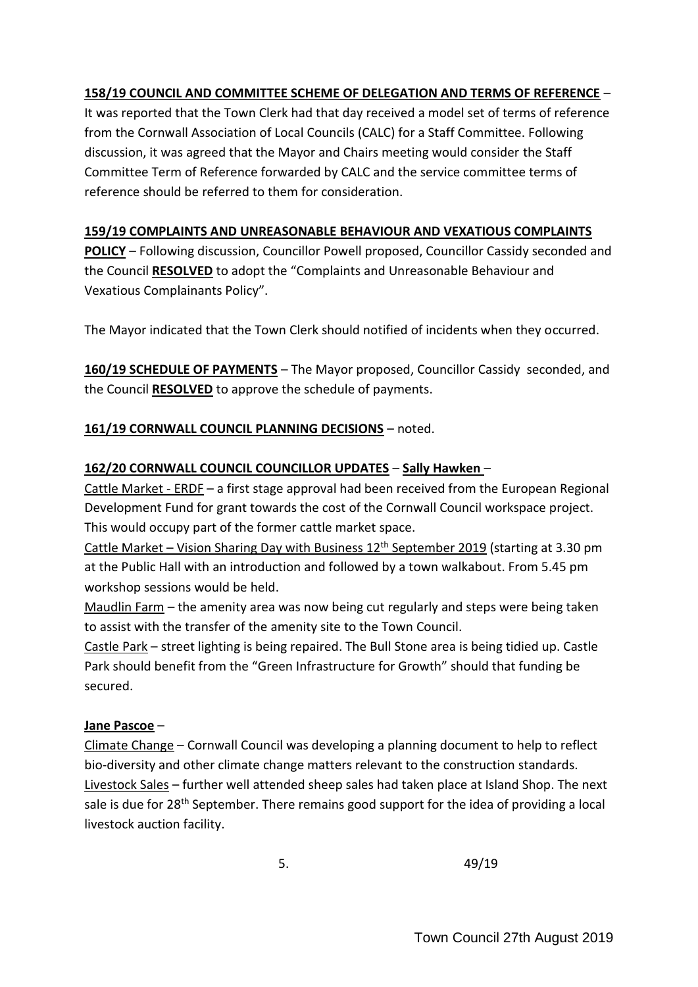# **158/19 COUNCIL AND COMMITTEE SCHEME OF DELEGATION AND TERMS OF REFERENCE** –

It was reported that the Town Clerk had that day received a model set of terms of reference from the Cornwall Association of Local Councils (CALC) for a Staff Committee. Following discussion, it was agreed that the Mayor and Chairs meeting would consider the Staff Committee Term of Reference forwarded by CALC and the service committee terms of reference should be referred to them for consideration.

## **159/19 COMPLAINTS AND UNREASONABLE BEHAVIOUR AND VEXATIOUS COMPLAINTS**

**POLICY** – Following discussion, Councillor Powell proposed, Councillor Cassidy seconded and the Council **RESOLVED** to adopt the "Complaints and Unreasonable Behaviour and Vexatious Complainants Policy".

The Mayor indicated that the Town Clerk should notified of incidents when they occurred.

**160/19 SCHEDULE OF PAYMENTS** – The Mayor proposed, Councillor Cassidy seconded, and the Council **RESOLVED** to approve the schedule of payments.

## **161/19 CORNWALL COUNCIL PLANNING DECISIONS** – noted.

## **162/20 CORNWALL COUNCIL COUNCILLOR UPDATES** – **Sally Hawken** –

Cattle Market - ERDF – a first stage approval had been received from the European Regional Development Fund for grant towards the cost of the Cornwall Council workspace project. This would occupy part of the former cattle market space.

Cattle Market – Vision Sharing Day with Business  $12<sup>th</sup>$  September 2019 (starting at 3.30 pm at the Public Hall with an introduction and followed by a town walkabout. From 5.45 pm workshop sessions would be held.

Maudlin Farm – the amenity area was now being cut regularly and steps were being taken to assist with the transfer of the amenity site to the Town Council.

Castle Park – street lighting is being repaired. The Bull Stone area is being tidied up. Castle Park should benefit from the "Green Infrastructure for Growth" should that funding be secured.

## **Jane Pascoe** –

Climate Change – Cornwall Council was developing a planning document to help to reflect bio-diversity and other climate change matters relevant to the construction standards. Livestock Sales – further well attended sheep sales had taken place at Island Shop. The next sale is due for 28<sup>th</sup> September. There remains good support for the idea of providing a local livestock auction facility.

 $5.$  49/19